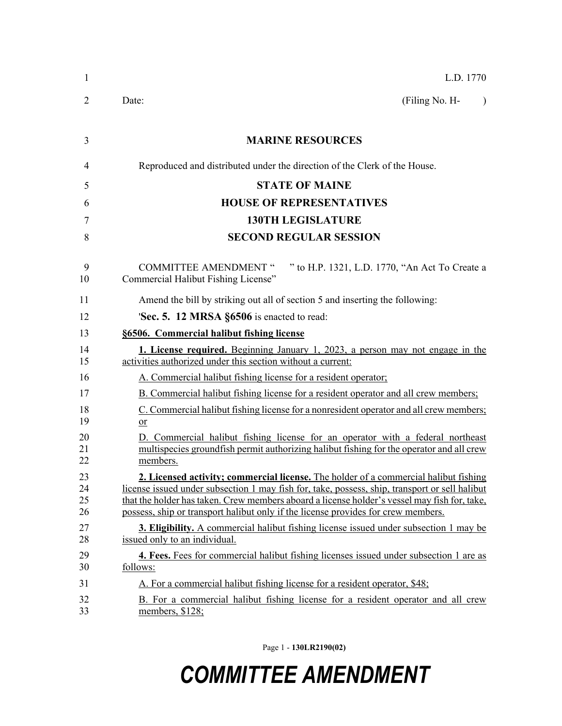| $\mathbf{1}$         | L.D. 1770                                                                                                                                                                                                                                                                                                                                                                   |
|----------------------|-----------------------------------------------------------------------------------------------------------------------------------------------------------------------------------------------------------------------------------------------------------------------------------------------------------------------------------------------------------------------------|
| 2                    | (Filing No. H-<br>Date:<br>$\lambda$                                                                                                                                                                                                                                                                                                                                        |
| 3                    | <b>MARINE RESOURCES</b>                                                                                                                                                                                                                                                                                                                                                     |
| 4                    | Reproduced and distributed under the direction of the Clerk of the House.                                                                                                                                                                                                                                                                                                   |
| 5                    | <b>STATE OF MAINE</b>                                                                                                                                                                                                                                                                                                                                                       |
| 6                    | <b>HOUSE OF REPRESENTATIVES</b>                                                                                                                                                                                                                                                                                                                                             |
| 7                    | <b>130TH LEGISLATURE</b>                                                                                                                                                                                                                                                                                                                                                    |
| 8                    | <b>SECOND REGULAR SESSION</b>                                                                                                                                                                                                                                                                                                                                               |
| 9<br>10              | " to H.P. 1321, L.D. 1770, "An Act To Create a<br><b>COMMITTEE AMENDMENT "</b><br>Commercial Halibut Fishing License"                                                                                                                                                                                                                                                       |
| 11                   | Amend the bill by striking out all of section 5 and inserting the following:                                                                                                                                                                                                                                                                                                |
| 12                   | 'Sec. 5. 12 MRSA §6506 is enacted to read:                                                                                                                                                                                                                                                                                                                                  |
| 13                   | §6506. Commercial halibut fishing license                                                                                                                                                                                                                                                                                                                                   |
| 14<br>15             | <b>1. License required.</b> Beginning January 1, 2023, a person may not engage in the<br>activities authorized under this section without a current:                                                                                                                                                                                                                        |
| 16                   | A. Commercial halibut fishing license for a resident operator;                                                                                                                                                                                                                                                                                                              |
| 17                   | B. Commercial halibut fishing license for a resident operator and all crew members;                                                                                                                                                                                                                                                                                         |
| 18<br>19             | C. Commercial halibut fishing license for a nonresident operator and all crew members;<br>or                                                                                                                                                                                                                                                                                |
| 20<br>21<br>22       | D. Commercial halibut fishing license for an operator with a federal northeast<br>multispecies groundfish permit authorizing halibut fishing for the operator and all crew<br>members.                                                                                                                                                                                      |
| 23<br>24<br>25<br>26 | 2. Licensed activity; commercial license. The holder of a commercial halibut fishing<br>license issued under subsection 1 may fish for, take, possess, ship, transport or sell halibut<br>that the holder has taken. Crew members aboard a license holder's vessel may fish for, take,<br>possess, ship or transport halibut only if the license provides for crew members. |
| 27<br>28             | <b>3. Eligibility.</b> A commercial halibut fishing license issued under subsection 1 may be<br>issued only to an individual.                                                                                                                                                                                                                                               |
| 29<br>30             | 4. Fees. Fees for commercial halibut fishing licenses issued under subsection 1 are as<br>follows:                                                                                                                                                                                                                                                                          |
| 31                   | A. For a commercial halibut fishing license for a resident operator, \$48;                                                                                                                                                                                                                                                                                                  |
| 32<br>33             | B. For a commercial halibut fishing license for a resident operator and all crew<br>members, \$128;                                                                                                                                                                                                                                                                         |

Page 1 - **130LR2190(02)**

## *COMMITTEE AMENDMENT*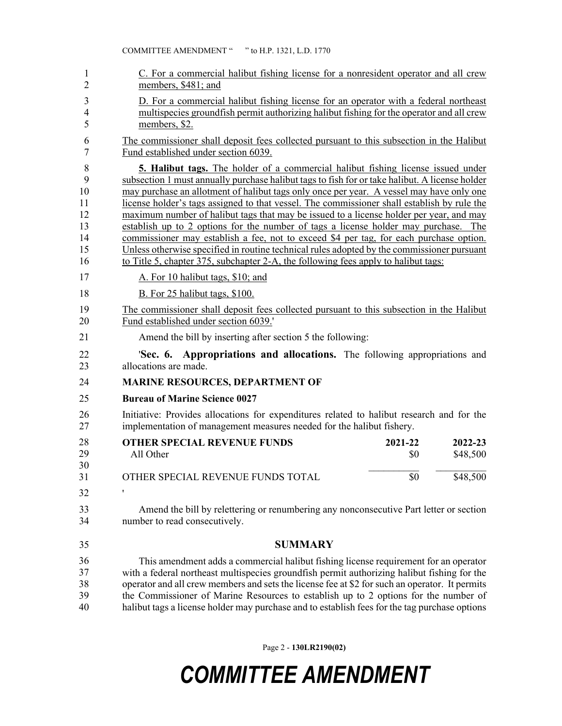| 1              | C. For a commercial halibut fishing license for a nonresident operator and all crew            |
|----------------|------------------------------------------------------------------------------------------------|
| $\overline{2}$ | members, \$481; and                                                                            |
| 3              | D. For a commercial halibut fishing license for an operator with a federal northeast           |
| $\overline{4}$ | multispecies ground fish permit authorizing halibut fishing for the operator and all crew      |
| 5              | members, \$2.                                                                                  |
| 6              | The commissioner shall deposit fees collected pursuant to this subsection in the Halibut       |
| 7              | Fund established under section 6039.                                                           |
| 8              | <b>5. Halibut tags.</b> The holder of a commercial halibut fishing license issued under        |
| 9              | subsection 1 must annually purchase halibut tags to fish for or take halibut. A license holder |
| 10             | may purchase an allotment of halibut tags only once per year. A vessel may have only one       |
| 11             | license holder's tags assigned to that vessel. The commissioner shall establish by rule the    |
| 12             | maximum number of halibut tags that may be issued to a license holder per year, and may        |
| 13             | establish up to 2 options for the number of tags a license holder may purchase. The            |
| 14             | commissioner may establish a fee, not to exceed \$4 per tag, for each purchase option.         |
| 15             | Unless otherwise specified in routine technical rules adopted by the commissioner pursuant     |
| 16             | to Title 5, chapter 375, subchapter 2-A, the following fees apply to halibut tags:             |
| 17             | A. For 10 halibut tags, \$10; and                                                              |
| 18             | B. For 25 halibut tags, \$100.                                                                 |
| 19             | The commissioner shall deposit fees collected pursuant to this subsection in the Halibut       |
| 20             | Fund established under section 6039.                                                           |
| 21             | Amend the bill by inserting after section 5 the following:                                     |
| 22             | <b>Sec. 6. Appropriations and allocations.</b> The following appropriations and                |
| 23             | allocations are made.                                                                          |
| 24             | <b>MARINE RESOURCES, DEPARTMENT OF</b>                                                         |
| 25             | <b>Bureau of Marine Science 0027</b>                                                           |
| 26             | Initiative: Provides allocations for expenditures related to halibut research and for the      |
| 27             | implementation of management measures needed for the halibut fishery.                          |
| 28<br>29<br>30 | <b>OTHER SPECIAL REVENUE FUNDS</b><br>2021-22<br>2022-23<br>All Other<br>\$48,500<br>\$0       |
| 31             | OTHER SPECIAL REVENUE FUNDS TOTAL<br>\$0<br>\$48,500                                           |
| 32             | 1                                                                                              |
| 33             | Amend the bill by relettering or renumbering any nonconsecutive Part letter or section         |
| 34             | number to read consecutively.                                                                  |
| 35             | <b>SUMMARY</b>                                                                                 |
| 36             | This amendment adds a commercial halibut fishing license requirement for an operator           |
| 37             | with a federal northeast multispecies groundfish permit authorizing halibut fishing for the    |
| 38             | operator and all crew members and sets the license fee at \$2 for such an operator. It permits |
| 39             | the Commissioner of Marine Resources to establish up to 2 options for the number of            |
| 40             | halibut tags a license holder may purchase and to establish fees for the tag purchase options  |

Page 2 - **130LR2190(02)**

## *COMMITTEE AMENDMENT*